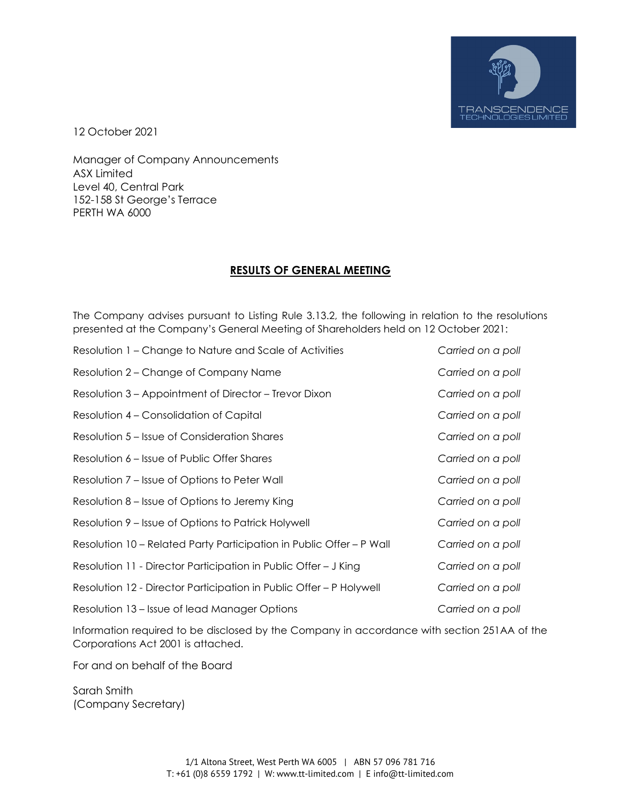

12 October 2021

Manager of Company Announcements ASX Limited Level 40, Central Park 152-158 St George's Terrace PERTH WA 6000

## **RESULTS OF GENERAL MEETING**

The Company advises pursuant to Listing Rule 3.13.2, the following in relation to the resolutions presented at the Company's General Meeting of Shareholders held on 12 October 2021:

| Resolution 1 – Change to Nature and Scale of Activities              | Carried on a poll |
|----------------------------------------------------------------------|-------------------|
| Resolution 2 – Change of Company Name                                | Carried on a poll |
| Resolution 3 – Appointment of Director – Trevor Dixon                | Carried on a poll |
| Resolution 4 – Consolidation of Capital                              | Carried on a poll |
| Resolution 5 – Issue of Consideration Shares                         | Carried on a poll |
| Resolution 6 – Issue of Public Offer Shares                          | Carried on a poll |
| Resolution 7 – Issue of Options to Peter Wall                        | Carried on a poll |
| Resolution 8 – Issue of Options to Jeremy King                       | Carried on a poll |
| Resolution 9 – Issue of Options to Patrick Holywell                  | Carried on a poll |
| Resolution 10 – Related Party Participation in Public Offer – P Wall | Carried on a poll |
| Resolution 11 - Director Participation in Public Offer – J King      | Carried on a poll |
| Resolution 12 - Director Participation in Public Offer – P Holywell  | Carried on a poll |
| Resolution 13 – Issue of lead Manager Options                        | Carried on a poll |

Information required to be disclosed by the Company in accordance with section 251AA of the Corporations Act 2001 is attached.

For and on behalf of the Board

Sarah Smith (Company Secretary)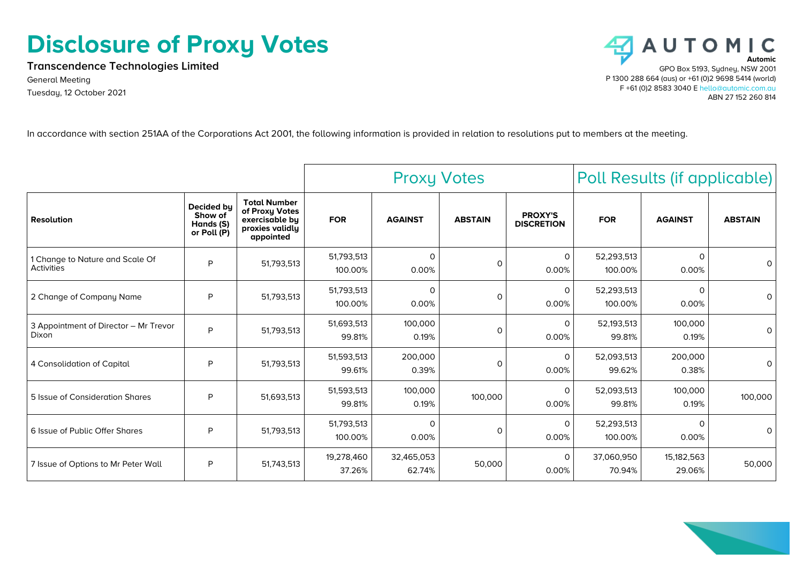## **Disclosure of Proxy Votes**

**Transcendence Technologies Limited**

General Meeting Tuesday, 12 October 2021



In accordance with section 251AA of the Corporations Act 2001, the following information is provided in relation to resolutions put to members at the meeting.

|                                                      |                                                   |                                                                                         | <b>Proxy Votes</b>    |                       |                | Poll Results (if applicable)        |                       |                      |                |
|------------------------------------------------------|---------------------------------------------------|-----------------------------------------------------------------------------------------|-----------------------|-----------------------|----------------|-------------------------------------|-----------------------|----------------------|----------------|
| <b>Resolution</b>                                    | Decided by<br>Show of<br>Hands (S)<br>or Poll (P) | <b>Total Number</b><br>of Proxy Votes<br>exercisable by<br>proxies validly<br>appointed | <b>FOR</b>            | <b>AGAINST</b>        | <b>ABSTAIN</b> | <b>PROXY'S</b><br><b>DISCRETION</b> | <b>FOR</b>            | <b>AGAINST</b>       | <b>ABSTAIN</b> |
| 1 Change to Nature and Scale Of<br><b>Activities</b> | P                                                 | 51,793,513                                                                              | 51,793,513<br>100.00% | $\Omega$<br>0.00%     | $\Omega$       | 0<br>0.00%                          | 52,293,513<br>100.00% | $\Omega$<br>0.00%    | 0              |
| 2 Change of Company Name                             | P                                                 | 51,793,513                                                                              | 51,793,513<br>100.00% | $\mathsf{O}$<br>0.00% | 0              | 0<br>0.00%                          | 52,293,513<br>100.00% | $\Omega$<br>0.00%    | 0              |
| 3 Appointment of Director - Mr Trevor<br>Dixon       | P                                                 | 51,793,513                                                                              | 51,693,513<br>99.81%  | 100,000<br>0.19%      | $\Omega$       | $\mathbf 0$<br>0.00%                | 52,193,513<br>99.81%  | 100,000<br>0.19%     | $\Omega$       |
| 4 Consolidation of Capital                           | P                                                 | 51,793,513                                                                              | 51,593,513<br>99.61%  | 200,000<br>0.39%      | $\Omega$       | $\Omega$<br>0.00%                   | 52,093,513<br>99.62%  | 200,000<br>0.38%     | 0              |
| 5 Issue of Consideration Shares                      | P                                                 | 51,693,513                                                                              | 51,593,513<br>99.81%  | 100,000<br>0.19%      | 100,000        | $\Omega$<br>0.00%                   | 52,093,513<br>99.81%  | 100,000<br>0.19%     | 100,000        |
| 6 Issue of Public Offer Shares                       | P                                                 | 51,793,513                                                                              | 51,793,513<br>100.00% | $\Omega$<br>0.00%     | $\Omega$       | $\Omega$<br>0.00%                   | 52,293,513<br>100.00% | $\Omega$<br>0.00%    | 0              |
| 7 Issue of Options to Mr Peter Wall                  | P                                                 | 51,743,513                                                                              | 19,278,460<br>37.26%  | 32,465,053<br>62.74%  | 50,000         | $\Omega$<br>0.00%                   | 37,060,950<br>70.94%  | 15,182,563<br>29.06% | 50,000         |